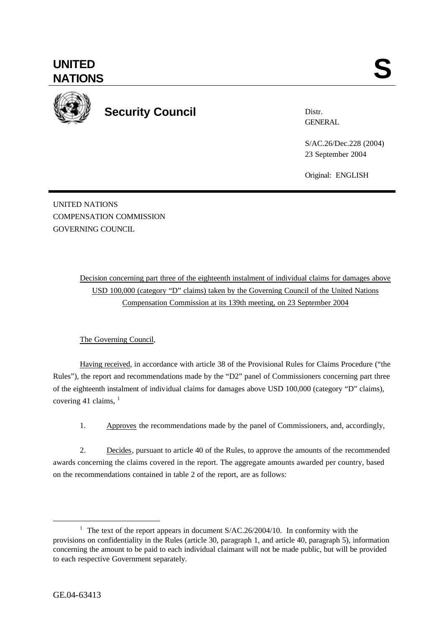

**Security Council**

Distr. **GENERAL** 

S/AC.26/Dec.228 (2004) 23 September 2004

Original: ENGLISH

UNITED NATIONS COMPENSATION COMMISSION GOVERNING COUNCIL

> Decision concerning part three of the eighteenth instalment of individual claims for damages above USD 100,000 (category "D" claims) taken by the Governing Council of the United Nations Compensation Commission at its 139th meeting, on 23 September 2004

## The Governing Council,

Having received, in accordance with article 38 of the Provisional Rules for Claims Procedure ("the Rules"), the report and recommendations made by the "D2" panel of Commissioners concerning part three of the eighteenth instalment of individual claims for damages above USD 100,000 (category "D" claims), covering 41 claims,  $1$ 

1. Approves the recommendations made by the panel of Commissioners, and, accordingly,

2. Decides, pursuant to article 40 of the Rules, to approve the amounts of the recommended awards concerning the claims covered in the report. The aggregate amounts awarded per country, based on the recommendations contained in table 2 of the report, are as follows:

l

<sup>&</sup>lt;sup>1</sup> The text of the report appears in document  $S/AC.26/2004/10$ . In conformity with the provisions on confidentiality in the Rules (article 30, paragraph 1, and article 40, paragraph 5), information concerning the amount to be paid to each individual claimant will not be made public, but will be provided to each respective Government separately.